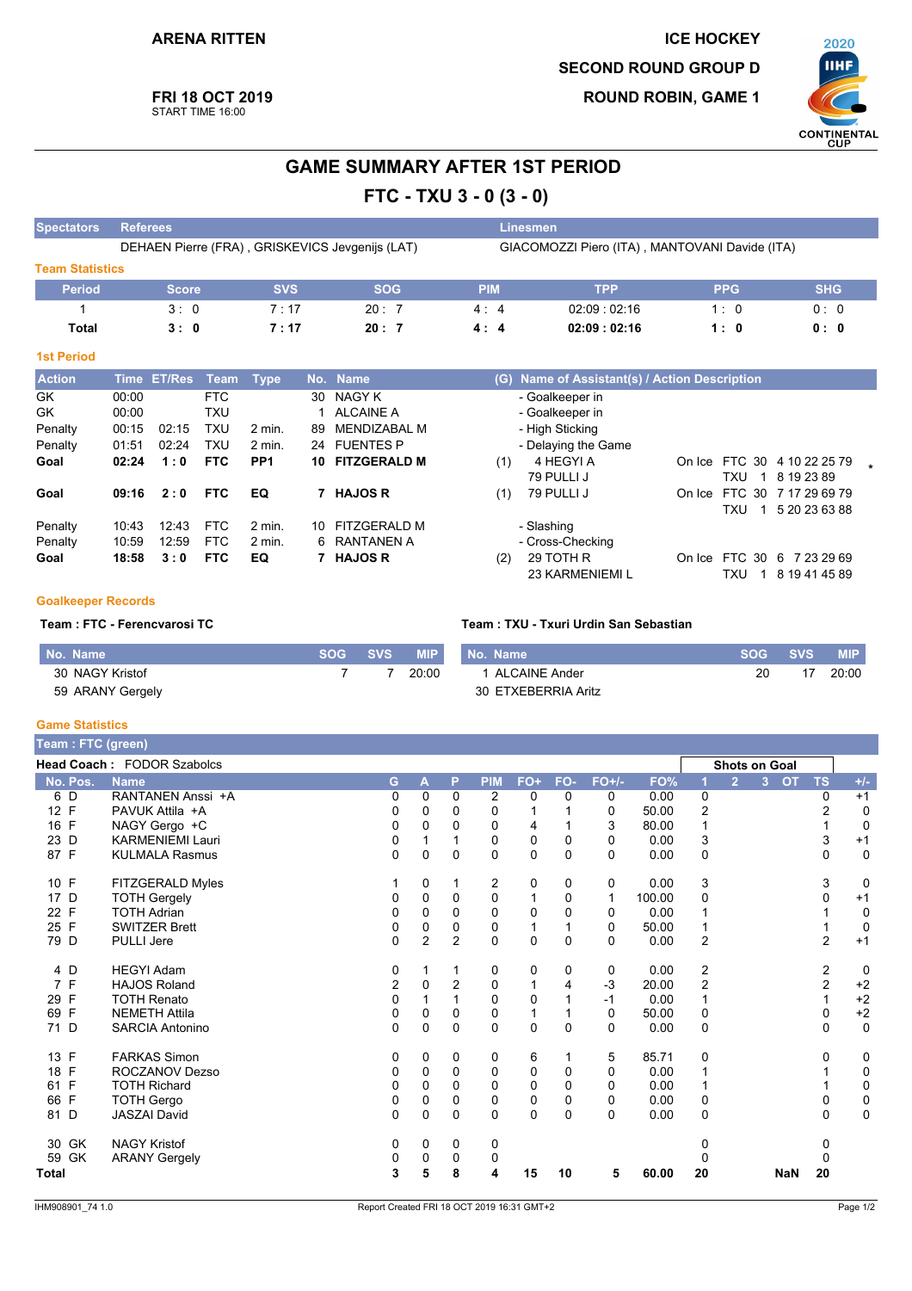**FRI 18 OCT 2019** 

START TIME 16:00

**ROUND ROBIN, GAME 1** 



 $\star$ 

# **GAME SUMMARY AFTER 1ST PERIOD**

FTC - TXU 3 - 0 (3 - 0)

| <b>Spectators</b>      | <b>Referees</b>                                 |                       |            |            |    |                                                |            | <b>Linesmen</b> |                                               |            |            |  |  |  |  |
|------------------------|-------------------------------------------------|-----------------------|------------|------------|----|------------------------------------------------|------------|-----------------|-----------------------------------------------|------------|------------|--|--|--|--|
|                        | DEHAEN Pierre (FRA), GRISKEVICS Jevgenijs (LAT) |                       |            |            |    | GIACOMOZZI Piero (ITA), MANTOVANI Davide (ITA) |            |                 |                                               |            |            |  |  |  |  |
| <b>Team Statistics</b> |                                                 |                       |            |            |    |                                                |            |                 |                                               |            |            |  |  |  |  |
| <b>Period</b>          |                                                 | <b>Score</b>          |            | <b>SVS</b> |    | <b>SOG</b>                                     | <b>PIM</b> |                 | <b>TPP</b>                                    | <b>PPG</b> | <b>SHG</b> |  |  |  |  |
|                        |                                                 | 3:0                   |            | 7:17       |    | 20:7                                           | 4:4        |                 | 02:09:02:16                                   | 1:0        | 0:0        |  |  |  |  |
| Total                  |                                                 | 3:0                   |            | 7:17       |    | 20:7                                           | 4:4        |                 | 02:09:02:16                                   | 1:0        | 0: 0       |  |  |  |  |
| <b>1st Period</b>      |                                                 |                       |            |            |    |                                                |            |                 |                                               |            |            |  |  |  |  |
| <b>Action</b>          |                                                 | Time ET/Res Team Type |            |            |    | No. Name                                       |            |                 | (G) Name of Assistant(s) / Action Description |            |            |  |  |  |  |
| GK<br>GK               | 00:00<br>00:00                                  |                       | FTC<br>TXU |            | 30 | NAGY K<br>ALCAINE A                            |            |                 | - Goalkeeper in<br>- Goalkeeper in            |            |            |  |  |  |  |

| GK      | 00:00       |       | FTC.       |                   | 30 | NAGY K          | - Goalkeeper in                                  |  |
|---------|-------------|-------|------------|-------------------|----|-----------------|--------------------------------------------------|--|
| GK      | 00:00       |       | TXU        |                   |    | ALCAINE A       | - Goalkeeper in                                  |  |
| Penalty | 00:15       | 02:15 | TXU        | $2 \text{ min}$ . | 89 | MENDIZABAL M    | - High Sticking                                  |  |
| Penalty | 01:51       | 02:24 | <b>TXU</b> | 2 min.            |    | 24 FUENTES P    | - Delaying the Game                              |  |
| Goal    | 02:24       | 1:0   | <b>FTC</b> | PP <sub>1</sub>   |    | 10 FITZGERALD M | On Ice FTC 30 4 10 22 25 79<br>(1)<br>4 HEGYI A  |  |
|         |             |       |            |                   |    |                 | 79 PULLI J<br>8 19 23 89<br>TXU                  |  |
| Goal    | $09:16$ 2:0 |       | <b>FTC</b> | EQ                |    | 7 HAJOS R       | On Ice FTC 30 7 17 29 69 79<br>79 PULLI J<br>(1) |  |
|         |             |       |            |                   |    |                 | 5 20 23 63 88<br>TXU<br>$\overline{1}$           |  |
| Penalty | 10:43       | 12:43 | <b>FTC</b> | $2$ min.          |    | 10 FITZGERALD M | - Slashing                                       |  |
| Penalty | 10:59       | 12:59 | <b>FTC</b> | $2$ min.          |    | 6 RANTANEN A    | - Cross-Checking                                 |  |
| Goal    | 18:58       | 3:0   | <b>FTC</b> | EQ                |    | 7 HAJOS R       | 29 TOTH R<br>On Ice FTC 30 6 7 23 29 69<br>(2)   |  |
|         |             |       |            |                   |    |                 |                                                  |  |
|         |             |       |            |                   |    |                 | <b>23 KARMENIEMI L</b><br>8 19 41 45 89<br>TXU   |  |

### **Goalkeeper Records**

#### Team : FTC - Ferencvarosi TC

| No. Name         | <b>SOG</b> | SVS | <b>MIP</b> | No. Name            | <b>SOG</b> | SVS | <b>MIP</b> |
|------------------|------------|-----|------------|---------------------|------------|-----|------------|
| 30 NAGY Kristof  |            |     | 20:00      | 1 ALCAINE Ander     | 20         |     | 20:00      |
| 59 ARANY Gergely |            |     |            | 30 ETXEBERRIA Aritz |            |     |            |

Team: TXU - Txuri Urdin San Sebastian

#### **Game Statistics**

| <b>Team: FTC (green)</b> |                            |              |                         |                |                |             |          |              |        |                |                |                             |                |             |
|--------------------------|----------------------------|--------------|-------------------------|----------------|----------------|-------------|----------|--------------|--------|----------------|----------------|-----------------------------|----------------|-------------|
|                          | Head Coach: FODOR Szabolcs |              |                         |                |                |             |          |              |        |                |                | <b>Shots on Goal</b>        |                |             |
| No. Pos.                 | <b>Name</b>                | G.           | $\overline{\mathsf{A}}$ | P              | <b>PIM</b>     | $FO+$       | FO-      | $FO+/-$      | FO%    |                | $\overline{2}$ | <b>OT</b><br>3 <sup>7</sup> | <b>TS</b>      | $+/-$       |
| 6 D                      | RANTANEN Anssi +A          | 0            | 0                       | $\mathbf 0$    | 2              | 0           | $\Omega$ | 0            | 0.00   | $\mathbf 0$    |                |                             | 0              | $+1$        |
| 12 F                     | PAVUK Attila +A            | 0            | 0                       | $\Omega$       | 0              |             |          | 0            | 50.00  | 2              |                |                             | $\overline{2}$ | 0           |
| 16 F                     | NAGY Gergo +C              | 0            | 0                       | 0              | 0              | 4           |          | 3            | 80.00  |                |                |                             |                | 0           |
| 23 D                     | <b>KARMENIEMI Lauri</b>    | 0            |                         |                | $\Omega$       | $\Omega$    | $\Omega$ | 0            | 0.00   | 3              |                |                             | 3              | $+1$        |
| 87 F                     | <b>KULMALA Rasmus</b>      | $\Omega$     | $\Omega$                | $\Omega$       | $\Omega$       | $\mathbf 0$ | $\Omega$ | 0            | 0.00   | 0              |                |                             | 0              | $\mathbf 0$ |
| 10 F                     | FITZGERALD Myles           |              | 0                       |                | $\overline{c}$ | 0           | 0        | 0            | 0.00   | 3              |                |                             | 3              | 0           |
| 17 D                     | <b>TOTH Gergely</b>        | 0            | $\mathbf 0$             | 0              | $\mathbf 0$    | 1           | 0        | $\mathbf{1}$ | 100.00 | 0              |                |                             | 0              | $+1$        |
| 22 F                     | <b>TOTH Adrian</b>         | 0            | $\Omega$                | 0              | 0              | 0           | 0        | 0            | 0.00   |                |                |                             |                | 0           |
| 25 F                     | <b>SWITZER Brett</b>       | 0            | 0                       | 0              | 0              | 1           |          | $\Omega$     | 50.00  |                |                |                             | 1              | 0           |
| 79 D                     | <b>PULLI Jere</b>          | $\Omega$     | $\overline{2}$          | $\overline{2}$ | $\mathbf 0$    | 0           | $\Omega$ | $\Omega$     | 0.00   | $\overline{2}$ |                |                             | $\overline{2}$ | $+1$        |
| 4 D                      | <b>HEGYI Adam</b>          | 0            |                         |                | 0              | 0           | 0        | 0            | 0.00   | $\overline{2}$ |                |                             | 2              | 0           |
| 7 F                      | <b>HAJOS Roland</b>        | 2            | 0                       | 2              | 0              | 1           | 4        | $-3$         | 20.00  | $\overline{2}$ |                |                             | $\overline{2}$ | $+2$        |
| F<br>29                  | <b>TOTH Renato</b>         | $\mathbf{0}$ |                         |                | $\mathbf 0$    | $\mathbf 0$ |          | $-1$         | 0.00   |                |                |                             | $\mathbf{1}$   | $^{\bf +2}$ |
| F<br>69                  | <b>NEMETH Attila</b>       | 0            | 0                       | 0              | $\mathbf 0$    | 1           |          | 0            | 50.00  | 0              |                |                             | 0              | $^{\bf +2}$ |
| 71 D                     | <b>SARCIA Antonino</b>     | $\Omega$     | $\Omega$                | $\Omega$       | $\Omega$       | $\Omega$    | $\Omega$ | 0            | 0.00   | $\Omega$       |                |                             | $\Omega$       | $\mathbf 0$ |
| 13 F                     | <b>FARKAS Simon</b>        | 0            | 0                       | 0              | 0              | 6           |          | 5            | 85.71  | 0              |                |                             | 0              | 0           |
| 18<br>F                  | ROCZANOV Dezso             | 0            | 0                       | $\mathbf{0}$   | 0              | $\mathbf 0$ | 0        | 0            | 0.00   | 1              |                |                             |                | $\mathbf 0$ |
| F<br>61                  | <b>TOTH Richard</b>        | 0            | $\Omega$                | 0              | $\mathbf 0$    | $\mathbf 0$ | $\Omega$ | 0            | 0.00   |                |                |                             |                | 0           |
| 66 F                     | <b>TOTH Gergo</b>          | 0            | 0                       | 0              | $\mathbf 0$    | 0           | 0        | 0            | 0.00   | 0              |                |                             | 0              | $\pmb{0}$   |
| 81 D                     | <b>JASZAI David</b>        | 0            | 0                       | 0              | $\Omega$       | $\Omega$    | $\Omega$ | 0            | 0.00   | $\Omega$       |                |                             | $\Omega$       | $\mathbf 0$ |
| 30 GK                    | <b>NAGY Kristof</b>        | 0            | 0                       | 0              | 0              |             |          |              |        | 0              |                |                             | 0              |             |
| GK<br>59                 | <b>ARANY Gergely</b>       | 0            | 0                       | $\mathbf{0}$   | 0              |             |          |              |        |                |                |                             | $\mathbf{0}$   |             |
| Total                    |                            | 3            | 5                       | 8              | 4              | 15          | 10       | 5            | 60.00  | 20             |                | <b>NaN</b>                  | 20             |             |